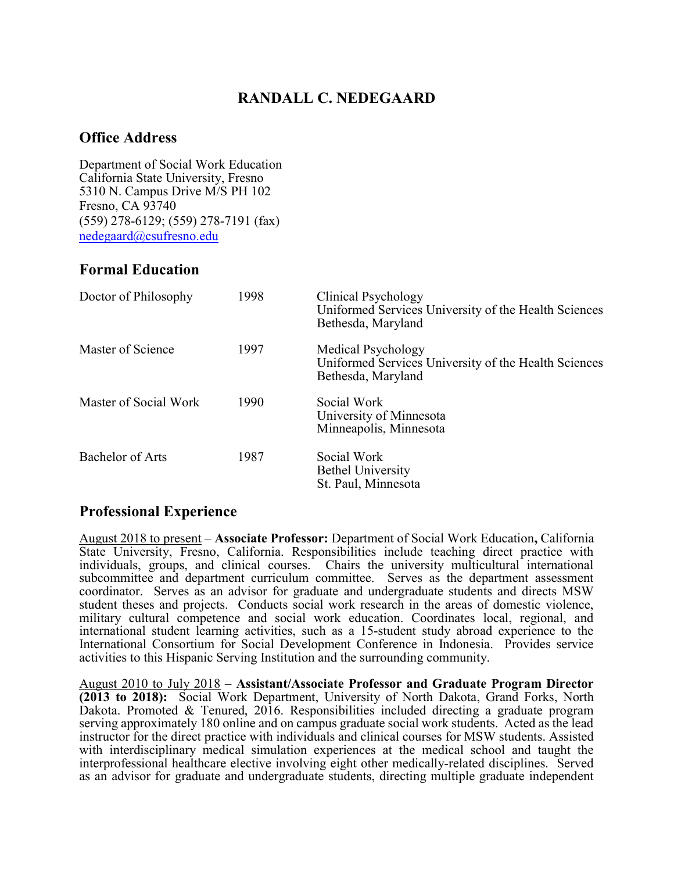# RANDALL C. NEDEGAARD

#### Office Address

Department of Social Work Education California State University, Fresno 5310 N. Campus Drive M/S PH 102 Fresno, CA 93740 (559) 278-6129; (559) 278-7191 (fax) nedegaard@csufresno.edu

#### Formal Education

| Doctor of Philosophy  | 1998 | Clinical Psychology<br>Uniformed Services University of the Health Sciences<br>Bethesda, Maryland |
|-----------------------|------|---------------------------------------------------------------------------------------------------|
| Master of Science     | 1997 | Medical Psychology<br>Uniformed Services University of the Health Sciences<br>Bethesda, Maryland  |
| Master of Social Work | 1990 | Social Work<br>University of Minnesota<br>Minneapolis, Minnesota                                  |
| Bachelor of Arts      | 1987 | Social Work<br><b>Bethel University</b><br>St. Paul, Minnesota                                    |

## Professional Experience

August 2018 to present – Associate Professor: Department of Social Work Education, California State University, Fresno, California. Responsibilities include teaching direct practice with individuals, groups, and clinical courses. Chairs the university multicultural international subcommittee and department curriculum committee. Serves as the department assessment coordinator. Serves as an advisor for graduate and undergraduate students and directs MSW student theses and projects. Conducts social work research in the areas of domestic violence, military cultural competence and social work education. Coordinates local, regional, and international student learning activities, such as a 15-student study abroad experience to the International Consortium for Social Development Conference in Indonesia. Provides service activities to this Hispanic Serving Institution and the surrounding community.

August 2010 to July 2018 – Assistant/Associate Professor and Graduate Program Director (2013 to 2018): Social Work Department, University of North Dakota, Grand Forks, North Dakota. Promoted & Tenured, 2016. Responsibilities included directing a graduate program serving approximately 180 online and on campus graduate social work students. Acted as the lead instructor for the direct practice with individuals and clinical courses for MSW students. Assisted with interdisciplinary medical simulation experiences at the medical school and taught the interprofessional healthcare elective involving eight other medically-related disciplines. Served as an advisor for graduate and undergraduate students, directing multiple graduate independent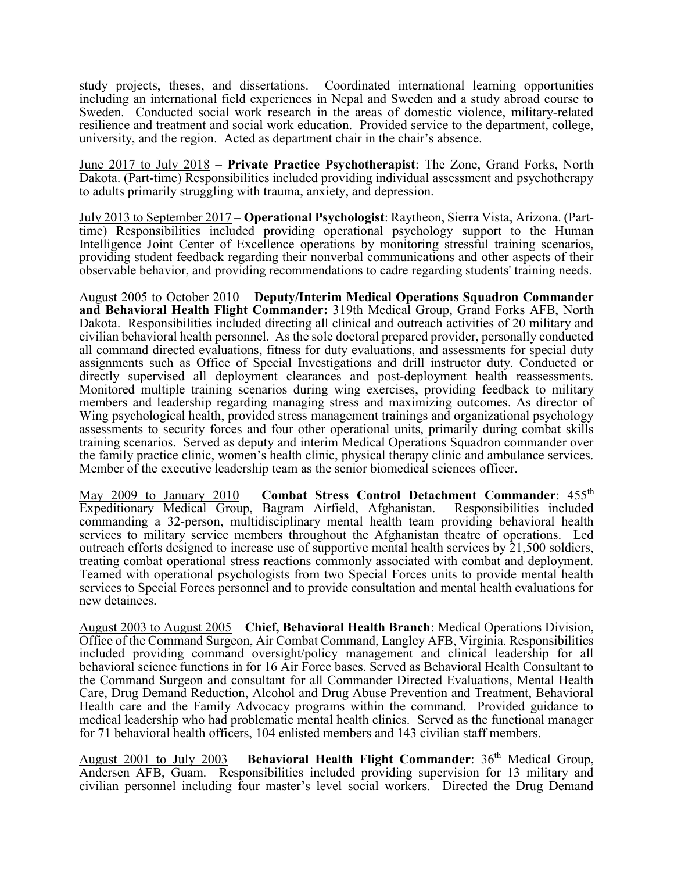study projects, theses, and dissertations. Coordinated international learning opportunities including an international field experiences in Nepal and Sweden and a study abroad course to Sweden. Conducted social work research in the areas of domestic violence, military-related resilience and treatment and social work education. Provided service to the department, college, university, and the region. Acted as department chair in the chair's absence.

June 2017 to July 2018 – Private Practice Psychotherapist: The Zone, Grand Forks, North Dakota. (Part-time) Responsibilities included providing individual assessment and psychotherapy to adults primarily struggling with trauma, anxiety, and depression.

July 2013 to September 2017 – Operational Psychologist: Raytheon, Sierra Vista, Arizona. (Parttime) Responsibilities included providing operational psychology support to the Human Intelligence Joint Center of Excellence operations by monitoring stressful training scenarios, providing student feedback regarding their nonverbal communications and other aspects of their observable behavior, and providing recommendations to cadre regarding students' training needs.

August 2005 to October 2010 – Deputy/Interim Medical Operations Squadron Commander and Behavioral Health Flight Commander: 319th Medical Group, Grand Forks AFB, North Dakota. Responsibilities included directing all clinical and outreach activities of 20 military and civilian behavioral health personnel. As the sole doctoral prepared provider, personally conducted all command directed evaluations, fitness for duty evaluations, and assessments for special duty assignments such as Office of Special Investigations and drill instructor duty. Conducted or directly supervised all deployment clearances and post-deployment health reassessments. Monitored multiple training scenarios during wing exercises, providing feedback to military members and leadership regarding managing stress and maximizing outcomes. As director of Wing psychological health, provided stress management trainings and organizational psychology assessments to security forces and four other operational units, primarily during combat skills training scenarios. Served as deputy and interim Medical Operations Squadron commander over the family practice clinic, women's health clinic, physical therapy clinic and ambulance services. Member of the executive leadership team as the senior biomedical sciences officer.

May 2009 to January 2010 – Combat Stress Control Detachment Commander:  $455<sup>th</sup>$ Expeditionary Medical Group, Bagram Airfield, Afghanistan. Responsibilities included commanding a 32-person, multidisciplinary mental health team providing behavioral health services to military service members throughout the Afghanistan theatre of operations. Led outreach efforts designed to increase use of supportive mental health services by  $21,500$  soldiers, treating combat operational stress reactions commonly associated with combat and deployment. Teamed with operational psychologists from two Special Forces units to provide mental health services to Special Forces personnel and to provide consultation and mental health evaluations for new detainees.

August 2003 to August 2005 – Chief, Behavioral Health Branch: Medical Operations Division, Office of the Command Surgeon, Air Combat Command, Langley AFB, Virginia. Responsibilities included providing command oversight/policy management and clinical leadership for all behavioral science functions in for 16 Air Force bases. Served as Behavioral Health Consultant to the Command Surgeon and consultant for all Commander Directed Evaluations, Mental Health Care, Drug Demand Reduction, Alcohol and Drug Abuse Prevention and Treatment, Behavioral Health care and the Family Advocacy programs within the command. Provided guidance to medical leadership who had problematic mental health clinics. Served as the functional manager for 71 behavioral health officers, 104 enlisted members and 143 civilian staff members.

August 2001 to July 2003 – Behavioral Health Flight Commander:  $36<sup>th</sup>$  Medical Group, Andersen AFB, Guam. Responsibilities included providing supervision for 13 military and civilian personnel including four master's level social workers. Directed the Drug Demand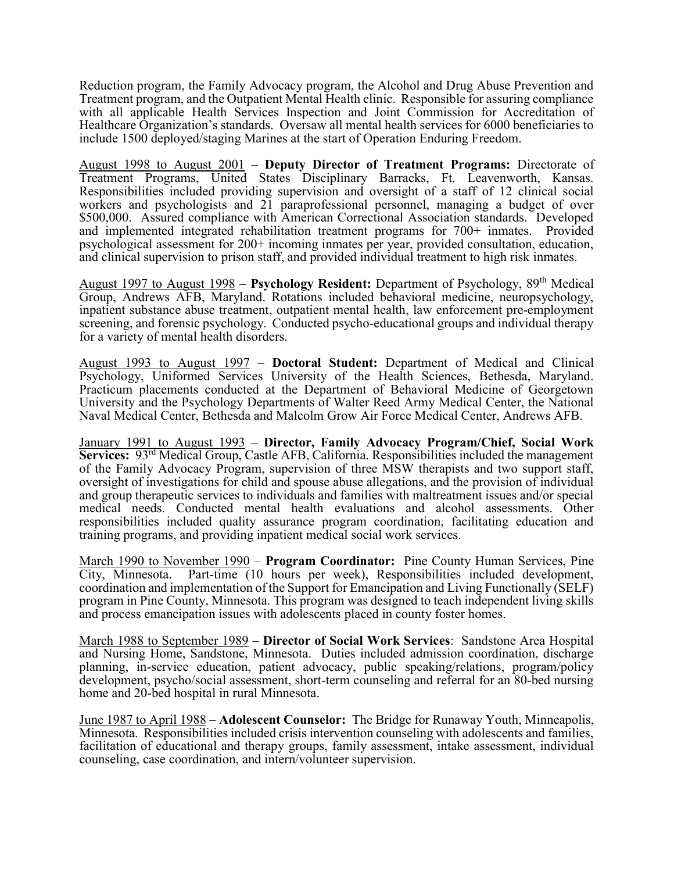Reduction program, the Family Advocacy program, the Alcohol and Drug Abuse Prevention and Treatment program, and the Outpatient Mental Health clinic. Responsible for assuring compliance with all applicable Health Services Inspection and Joint Commission for Accreditation of Healthcare Organization's standards. Oversaw all mental health services for 6000 beneficiaries to include 1500 deployed/staging Marines at the start of Operation Enduring Freedom.

August 1998 to August 2001 – Deputy Director of Treatment Programs: Directorate of Treatment Programs, United States Disciplinary Barracks, Ft. Leavenworth, Kansas. Responsibilities included providing supervision and oversight of a staff of 12 clinical social workers and psychologists and 21 paraprofessional personnel, managing a budget of over \$500,000. Assured compliance with American Correctional Association standards. Developed and implemented integrated rehabilitation treatment programs for 700+ inmates. Provided psychological assessment for 200+ incoming inmates per year, provided consultation, education, and clinical supervision to prison staff, and provided individual treatment to high risk inmates.

August 1997 to August  $1998 -$  Psychology Resident: Department of Psychology,  $89<sup>th</sup>$  Medical Group, Andrews AFB, Maryland. Rotations included behavioral medicine, neuropsychology, inpatient substance abuse treatment, outpatient mental health, law enforcement pre-employment screening, and forensic psychology. Conducted psycho-educational groups and individual therapy for a variety of mental health disorders.

August 1993 to August 1997 – Doctoral Student: Department of Medical and Clinical Psychology, Uniformed Services University of the Health Sciences, Bethesda, Maryland. Practicum placements conducted at the Department of Behavioral Medicine of Georgetown University and the Psychology Departments of Walter Reed Army Medical Center, the National Naval Medical Center, Bethesda and Malcolm Grow Air Force Medical Center, Andrews AFB.

January 1991 to August 1993 – Director, Family Advocacy Program/Chief, Social Work Services: 93rd Medical Group, Castle AFB, California. Responsibilities included the management of the Family Advocacy Program, supervision of three MSW therapists and two support staff, oversight of investigations for child and spouse abuse allegations, and the provision of individual and group therapeutic services to individuals and families with maltreatment issues and/or special medical needs. Conducted mental health evaluations and alcohol assessments. Other responsibilities included quality assurance program coordination, facilitating education and training programs, and providing inpatient medical social work services.

March 1990 to November 1990 – **Program Coordinator:** Pine County Human Services, Pine City, Minnesota. Part-time (10 hours per week), Responsibilities included development, coordination and implementation of the Support for Emancipation and Living Functionally (SELF) program in Pine County, Minnesota. This program was designed to teach independent living skills and process emancipation issues with adolescents placed in county foster homes.

March 1988 to September 1989 – Director of Social Work Services: Sandstone Area Hospital and Nursing Home, Sandstone, Minnesota. Duties included admission coordination, discharge planning, in-service education, patient advocacy, public speaking/relations, program/policy development, psycho/social assessment, short-term counseling and referral for an 80-bed nursing home and 20-bed hospital in rural Minnesota.

June 1987 to April 1988 – Adolescent Counselor: The Bridge for Runaway Youth, Minneapolis, Minnesota. Responsibilities included crisis intervention counseling with adolescents and families, facilitation of educational and therapy groups, family assessment, intake assessment, individual counseling, case coordination, and intern/volunteer supervision.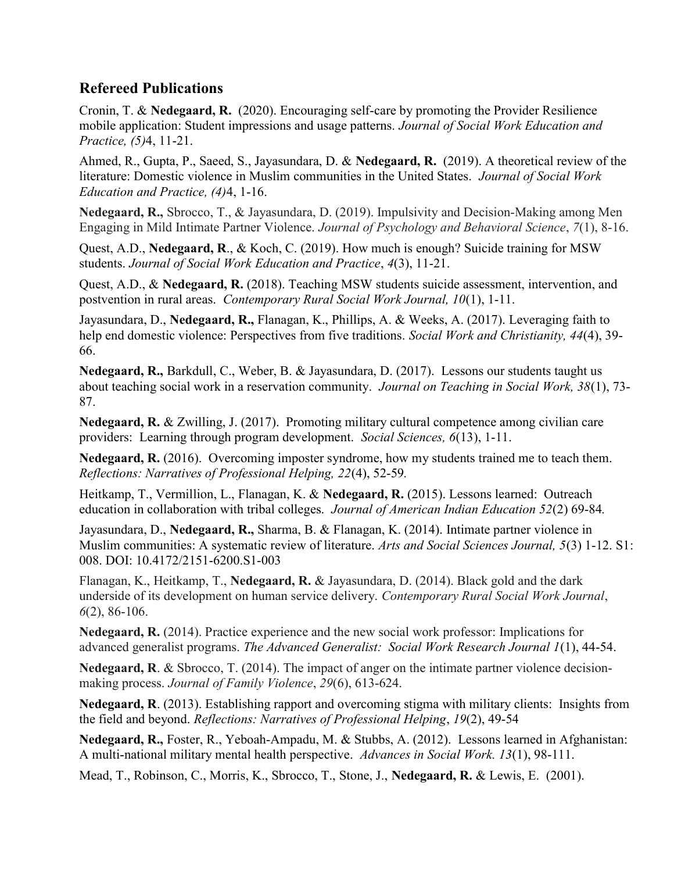## Refereed Publications

Cronin, T. & Nedegaard, R. (2020). Encouraging self-care by promoting the Provider Resilience mobile application: Student impressions and usage patterns. Journal of Social Work Education and Practice, (5)4, 11-21.

Ahmed, R., Gupta, P., Saeed, S., Jayasundara, D. & Nedegaard, R. (2019). A theoretical review of the literature: Domestic violence in Muslim communities in the United States. Journal of Social Work Education and Practice, (4)4, 1-16.

Nedegaard, R., Sbrocco, T., & Jayasundara, D. (2019). Impulsivity and Decision-Making among Men Engaging in Mild Intimate Partner Violence. Journal of Psychology and Behavioral Science, 7(1), 8-16.

Quest, A.D., Nedegaard, R., & Koch, C. (2019). How much is enough? Suicide training for MSW students. Journal of Social Work Education and Practice, 4(3), 11-21.

Quest, A.D., & Nedegaard, R. (2018). Teaching MSW students suicide assessment, intervention, and postvention in rural areas. Contemporary Rural Social Work Journal, 10(1), 1-11.

Jayasundara, D., Nedegaard, R., Flanagan, K., Phillips, A. & Weeks, A. (2017). Leveraging faith to help end domestic violence: Perspectives from five traditions. Social Work and Christianity, 44(4), 39-66.

Nedegaard, R., Barkdull, C., Weber, B. & Jayasundara, D. (2017). Lessons our students taught us about teaching social work in a reservation community. Journal on Teaching in Social Work, 38(1), 73- 87.

Nedegaard, R. & Zwilling, J. (2017). Promoting military cultural competence among civilian care providers: Learning through program development. Social Sciences, 6(13), 1-11.

Nedegaard, R. (2016). Overcoming imposter syndrome, how my students trained me to teach them. Reflections: Narratives of Professional Helping, 22(4), 52-59.

Heitkamp, T., Vermillion, L., Flanagan, K. & Nedegaard, R. (2015). Lessons learned: Outreach education in collaboration with tribal colleges. Journal of American Indian Education 52(2) 69-84.

Jayasundara, D., Nedegaard, R., Sharma, B. & Flanagan, K. (2014). Intimate partner violence in Muslim communities: A systematic review of literature. Arts and Social Sciences Journal, 5(3) 1-12. S1: 008. DOI: 10.4172/2151-6200.S1-003

Flanagan, K., Heitkamp, T., Nedegaard, R. & Jayasundara, D. (2014). Black gold and the dark underside of its development on human service delivery. Contemporary Rural Social Work Journal, 6(2), 86-106.

Nedegaard, R. (2014). Practice experience and the new social work professor: Implications for advanced generalist programs. The Advanced Generalist: Social Work Research Journal 1(1), 44-54.

Nedegaard, R. & Sbrocco, T. (2014). The impact of anger on the intimate partner violence decisionmaking process. Journal of Family Violence, 29(6), 613-624.

Nedegaard, R. (2013). Establishing rapport and overcoming stigma with military clients: Insights from the field and beyond. Reflections: Narratives of Professional Helping, 19(2), 49-54

Nedegaard, R., Foster, R., Yeboah-Ampadu, M. & Stubbs, A. (2012). Lessons learned in Afghanistan: A multi-national military mental health perspective. Advances in Social Work. 13(1), 98-111.

Mead, T., Robinson, C., Morris, K., Sbrocco, T., Stone, J., Nedegaard, R. & Lewis, E. (2001).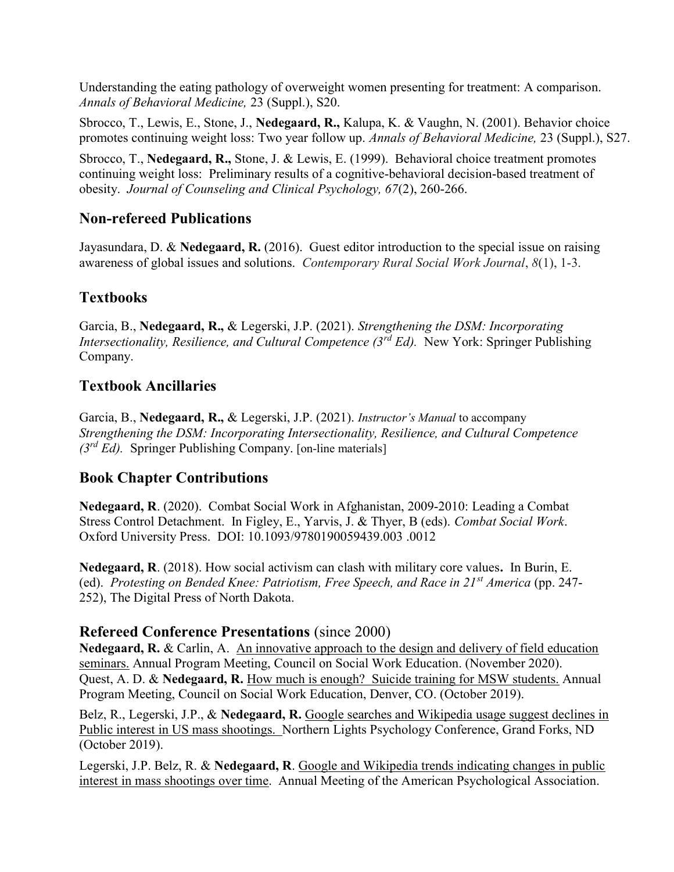Understanding the eating pathology of overweight women presenting for treatment: A comparison. Annals of Behavioral Medicine, 23 (Suppl.), S20.

Sbrocco, T., Lewis, E., Stone, J., Nedegaard, R., Kalupa, K. & Vaughn, N. (2001). Behavior choice promotes continuing weight loss: Two year follow up. Annals of Behavioral Medicine, 23 (Suppl.), S27.

Sbrocco, T., Nedegaard, R., Stone, J. & Lewis, E. (1999). Behavioral choice treatment promotes continuing weight loss: Preliminary results of a cognitive-behavioral decision-based treatment of obesity. Journal of Counseling and Clinical Psychology, 67(2), 260-266.

## Non-refereed Publications

Jayasundara, D. & Nedegaard, R. (2016). Guest editor introduction to the special issue on raising awareness of global issues and solutions. Contemporary Rural Social Work Journal, 8(1), 1-3.

# **Textbooks**

Garcia, B., Nedegaard, R., & Legerski, J.P. (2021). Strengthening the DSM: Incorporating Intersectionality, Resilience, and Cultural Competence  $(3^{rd} Ed)$ . New York: Springer Publishing Company.

## Textbook Ancillaries

Garcia, B., Nedegaard, R., & Legerski, J.P. (2021). *Instructor's Manual* to accompany Strengthening the DSM: Incorporating Intersectionality, Resilience, and Cultural Competence  $(3<sup>rd</sup> Ed)$ . Springer Publishing Company. [on-line materials]

## Book Chapter Contributions

Nedegaard, R. (2020). Combat Social Work in Afghanistan, 2009-2010: Leading a Combat Stress Control Detachment. In Figley, E., Yarvis, J. & Thyer, B (eds). Combat Social Work. Oxford University Press. DOI: 10.1093/9780190059439.003 .0012

Nedegaard, R. (2018). How social activism can clash with military core values. In Burin, E. (ed). Protesting on Bended Knee: Patriotism, Free Speech, and Race in  $21^{st}$  America (pp. 247-252), The Digital Press of North Dakota.

## Refereed Conference Presentations (since 2000)

Nedegaard, R. & Carlin, A. An innovative approach to the design and delivery of field education seminars. Annual Program Meeting, Council on Social Work Education. (November 2020). Quest, A. D. & Nedegaard, R. How much is enough? Suicide training for MSW students. Annual Program Meeting, Council on Social Work Education, Denver, CO. (October 2019).

Belz, R., Legerski, J.P., & Nedegaard, R. Google searches and Wikipedia usage suggest declines in Public interest in US mass shootings. Northern Lights Psychology Conference, Grand Forks, ND (October 2019).

Legerski, J.P. Belz, R. & Nedegaard, R. Google and Wikipedia trends indicating changes in public interest in mass shootings over time. Annual Meeting of the American Psychological Association.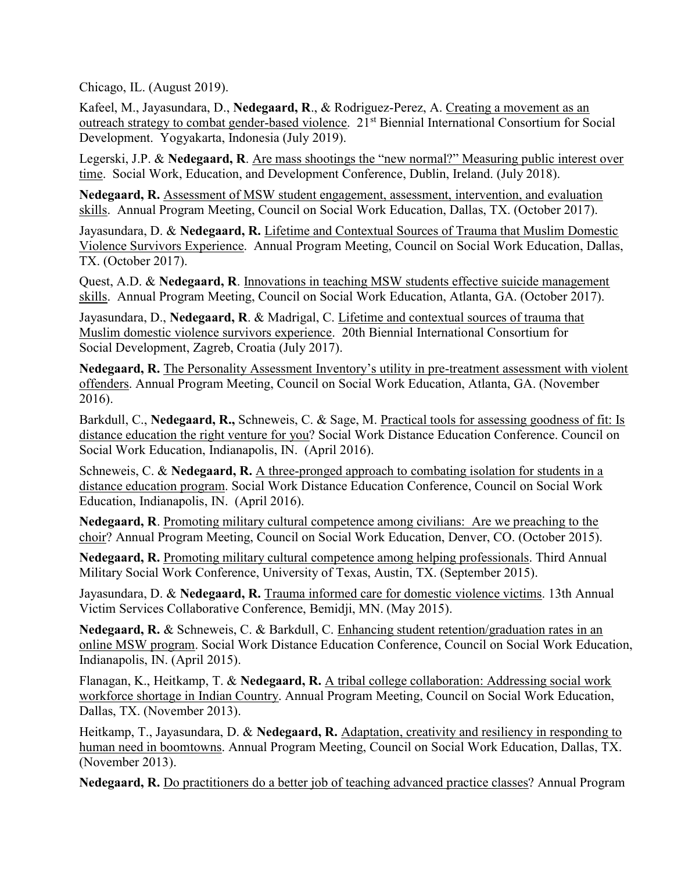Chicago, IL. (August 2019).

Kafeel, M., Jayasundara, D., Nedegaard, R., & Rodriguez-Perez, A. Creating a movement as an outreach strategy to combat gender-based violence. 21<sup>st</sup> Biennial International Consortium for Social Development. Yogyakarta, Indonesia (July 2019).

Legerski, J.P. & Nedegaard, R. Are mass shootings the "new normal?" Measuring public interest over time. Social Work, Education, and Development Conference, Dublin, Ireland. (July 2018).

Nedegaard, R. Assessment of MSW student engagement, assessment, intervention, and evaluation skills. Annual Program Meeting, Council on Social Work Education, Dallas, TX. (October 2017).

Jayasundara, D. & Nedegaard, R. Lifetime and Contextual Sources of Trauma that Muslim Domestic Violence Survivors Experience. Annual Program Meeting, Council on Social Work Education, Dallas, TX. (October 2017).

Quest, A.D. & Nedegaard, R. Innovations in teaching MSW students effective suicide management skills. Annual Program Meeting, Council on Social Work Education, Atlanta, GA. (October 2017).

Jayasundara, D., Nedegaard, R. & Madrigal, C. Lifetime and contextual sources of trauma that Muslim domestic violence survivors experience. 20th Biennial International Consortium for Social Development, Zagreb, Croatia (July 2017).

Nedegaard, R. The Personality Assessment Inventory's utility in pre-treatment assessment with violent offenders. Annual Program Meeting, Council on Social Work Education, Atlanta, GA. (November 2016).

Barkdull, C., Nedegaard, R., Schneweis, C. & Sage, M. Practical tools for assessing goodness of fit: Is distance education the right venture for you? Social Work Distance Education Conference. Council on Social Work Education, Indianapolis, IN. (April 2016).

Schneweis, C. & Nedegaard, R. A three-pronged approach to combating isolation for students in a distance education program. Social Work Distance Education Conference, Council on Social Work Education, Indianapolis, IN. (April 2016).

Nedegaard, R. Promoting military cultural competence among civilians: Are we preaching to the choir? Annual Program Meeting, Council on Social Work Education, Denver, CO. (October 2015).

Nedegaard, R. Promoting military cultural competence among helping professionals. Third Annual Military Social Work Conference, University of Texas, Austin, TX. (September 2015).

Jayasundara, D. & Nedegaard, R. Trauma informed care for domestic violence victims. 13th Annual Victim Services Collaborative Conference, Bemidji, MN. (May 2015).

Nedegaard, R. & Schneweis, C. & Barkdull, C. Enhancing student retention/graduation rates in an online MSW program. Social Work Distance Education Conference, Council on Social Work Education, Indianapolis, IN. (April 2015).

Flanagan, K., Heitkamp, T. & Nedegaard, R. A tribal college collaboration: Addressing social work workforce shortage in Indian Country. Annual Program Meeting, Council on Social Work Education, Dallas, TX. (November 2013).

Heitkamp, T., Jayasundara, D. & Nedegaard, R. Adaptation, creativity and resiliency in responding to human need in boomtowns. Annual Program Meeting, Council on Social Work Education, Dallas, TX. (November 2013).

Nedegaard, R. Do practitioners do a better job of teaching advanced practice classes? Annual Program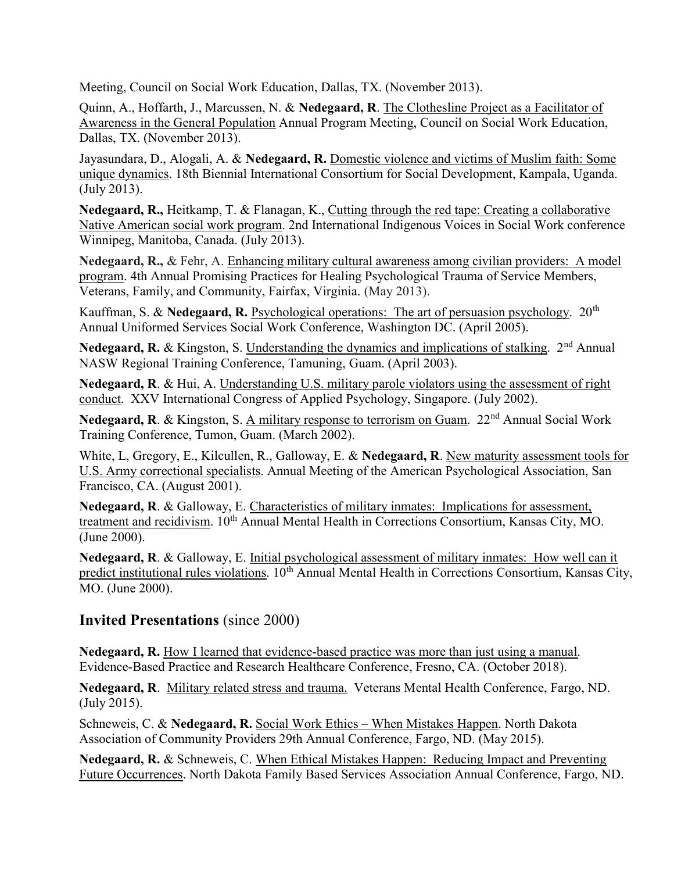Meeting, Council on Social Work Education, Dallas, TX. (November 2013).

Quinn, A., Hoffarth, J., Marcussen, N. & Nedegaard, R. The Clothesline Project as a Facilitator of Awareness in the General Population Annual Program Meeting, Council on Social Work Education, Dallas, TX. (November 2013).

Jayasundara, D., Alogali, A. & Nedegaard, R. Domestic violence and victims of Muslim faith: Some unique dynamics. 18th Biennial International Consortium for Social Development, Kampala, Uganda. (July 2013).

Nedegaard, R., Heitkamp, T. & Flanagan, K., Cutting through the red tape: Creating a collaborative Native American social work program. 2nd International Indigenous Voices in Social Work conference Winnipeg, Manitoba, Canada. (July 2013).

Nedegaard, R., & Fehr, A. Enhancing military cultural awareness among civilian providers: A model program. 4th Annual Promising Practices for Healing Psychological Trauma of Service Members, Veterans, Family, and Community, Fairfax, Virginia. (May 2013).

Kauffman, S. & Nedegaard, R. Psychological operations: The art of persuasion psychology. 20<sup>th</sup> Annual Uniformed Services Social Work Conference, Washington DC. (April 2005).

Nedegaard, R. & Kingston, S. Understanding the dynamics and implications of stalking.  $2<sup>nd</sup>$  Annual NASW Regional Training Conference, Tamuning, Guam. (April 2003).

Nedegaard, R. & Hui, A. Understanding U.S. military parole violators using the assessment of right conduct. XXV International Congress of Applied Psychology, Singapore. (July 2002).

Nedegaard, R. & Kingston, S. A military response to terrorism on Guam. 22<sup>nd</sup> Annual Social Work Training Conference, Tumon, Guam. (March 2002).

White, L, Gregory, E., Kilcullen, R., Galloway, E. & Nedegaard, R. New maturity assessment tools for U.S. Army correctional specialists. Annual Meeting of the American Psychological Association, San Francisco, CA. (August 2001).

Nedegaard, R. & Galloway, E. Characteristics of military inmates: Implications for assessment, treatment and recidivism. 10<sup>th</sup> Annual Mental Health in Corrections Consortium, Kansas City, MO. (June 2000).

Nedegaard, R. & Galloway, E. Initial psychological assessment of military inmates: How well can it predict institutional rules violations. 10<sup>th</sup> Annual Mental Health in Corrections Consortium, Kansas City, MO. (June 2000).

## Invited Presentations (since 2000)

Nedegaard, R. How I learned that evidence-based practice was more than just using a manual. Evidence-Based Practice and Research Healthcare Conference, Fresno, CA. (October 2018).

Nedegaard, R. Military related stress and trauma. Veterans Mental Health Conference, Fargo, ND. (July 2015).

Schneweis, C. & Nedegaard, R. Social Work Ethics – When Mistakes Happen. North Dakota Association of Community Providers 29th Annual Conference, Fargo, ND. (May 2015).

Nedegaard, R. & Schneweis, C. When Ethical Mistakes Happen: Reducing Impact and Preventing Future Occurrences. North Dakota Family Based Services Association Annual Conference, Fargo, ND.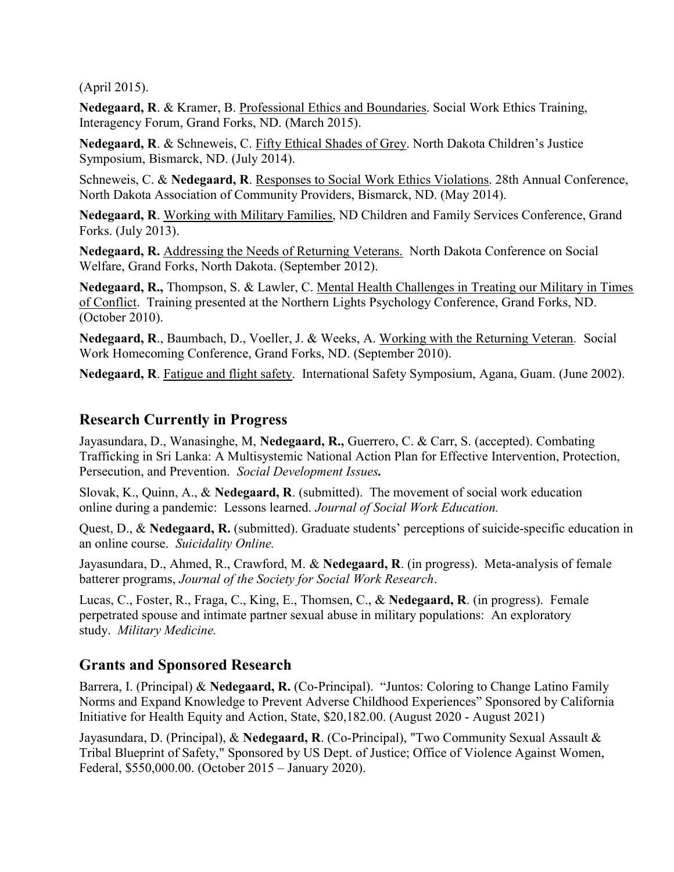(April 2015).

Nedegaard, R. & Kramer, B. Professional Ethics and Boundaries. Social Work Ethics Training, Interagency Forum, Grand Forks, ND. (March 2015).

Nedegaard, R. & Schneweis, C. Fifty Ethical Shades of Grey. North Dakota Children's Justice Symposium, Bismarck, ND. (July 2014).

Schneweis, C. & Nedegaard, R. Responses to Social Work Ethics Violations. 28th Annual Conference, North Dakota Association of Community Providers, Bismarck, ND. (May 2014).

Nedegaard, R. Working with Military Families, ND Children and Family Services Conference, Grand Forks. (July 2013).

Nedegaard, R. Addressing the Needs of Returning Veterans. North Dakota Conference on Social Welfare, Grand Forks, North Dakota. (September 2012).

Nedegaard, R., Thompson, S. & Lawler, C. Mental Health Challenges in Treating our Military in Times of Conflict. Training presented at the Northern Lights Psychology Conference, Grand Forks, ND. (October 2010).

Nedegaard, R., Baumbach, D., Voeller, J. & Weeks, A. Working with the Returning Veteran. Social Work Homecoming Conference, Grand Forks, ND. (September 2010).

Nedegaard, R. Fatigue and flight safety. International Safety Symposium, Agana, Guam. (June 2002).

#### Research Currently in Progress

Jayasundara, D., Wanasinghe, M, Nedegaard, R., Guerrero, C. & Carr, S. (accepted). Combating Trafficking in Sri Lanka: A Multisystemic National Action Plan for Effective Intervention, Protection, Persecution, and Prevention. Social Development Issues.

Slovak, K., Quinn, A., & Nedegaard, R. (submitted). The movement of social work education online during a pandemic: Lessons learned. Journal of Social Work Education.

Quest, D., & Nedegaard, R. (submitted). Graduate students' perceptions of suicide-specific education in an online course. Suicidality Online.

Jayasundara, D., Ahmed, R., Crawford, M. & Nedegaard, R. (in progress). Meta-analysis of female batterer programs, Journal of the Society for Social Work Research.

Lucas, C., Foster, R., Fraga, C., King, E., Thomsen, C., & Nedegaard, R. (in progress). Female perpetrated spouse and intimate partner sexual abuse in military populations: An exploratory study. Military Medicine.

## Grants and Sponsored Research

Barrera, I. (Principal) & Nedegaard, R. (Co-Principal). "Juntos: Coloring to Change Latino Family Norms and Expand Knowledge to Prevent Adverse Childhood Experiences" Sponsored by California Initiative for Health Equity and Action, State, \$20,182.00. (August 2020 - August 2021)

Jayasundara, D. (Principal), & Nedegaard, R. (Co-Principal), "Two Community Sexual Assault & Tribal Blueprint of Safety," Sponsored by US Dept. of Justice; Office of Violence Against Women, Federal, \$550,000.00. (October 2015 – January 2020).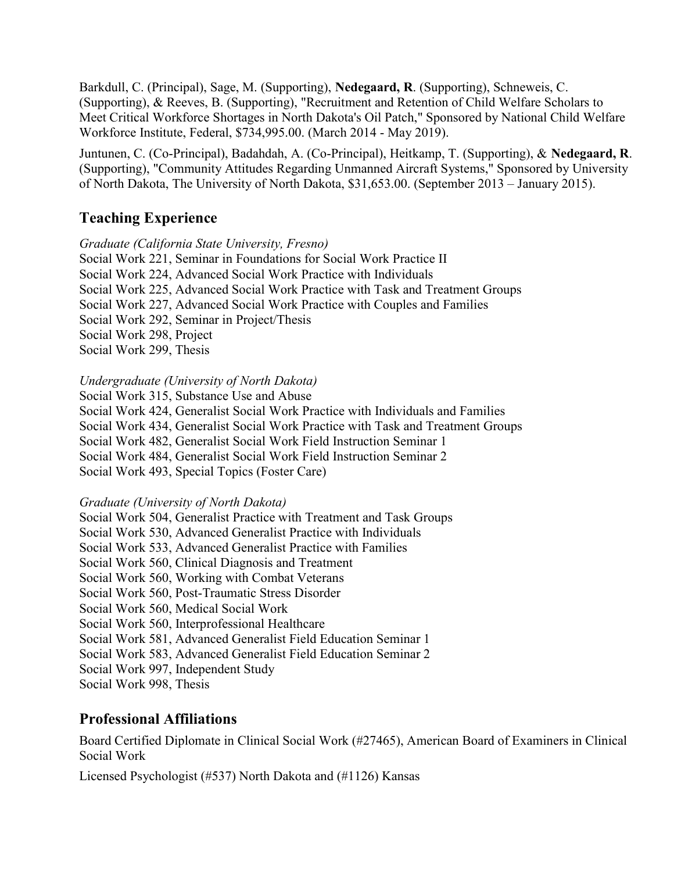Barkdull, C. (Principal), Sage, M. (Supporting), Nedegaard, R. (Supporting), Schneweis, C. (Supporting), & Reeves, B. (Supporting), "Recruitment and Retention of Child Welfare Scholars to Meet Critical Workforce Shortages in North Dakota's Oil Patch," Sponsored by National Child Welfare Workforce Institute, Federal, \$734,995.00. (March 2014 - May 2019).

Juntunen, C. (Co-Principal), Badahdah, A. (Co-Principal), Heitkamp, T. (Supporting), & Nedegaard, R. (Supporting), "Community Attitudes Regarding Unmanned Aircraft Systems," Sponsored by University of North Dakota, The University of North Dakota, \$31,653.00. (September 2013 – January 2015).

#### Teaching Experience

Graduate (California State University, Fresno)

Social Work 221, Seminar in Foundations for Social Work Practice II Social Work 224, Advanced Social Work Practice with Individuals Social Work 225, Advanced Social Work Practice with Task and Treatment Groups Social Work 227, Advanced Social Work Practice with Couples and Families Social Work 292, Seminar in Project/Thesis Social Work 298, Project Social Work 299, Thesis

#### Undergraduate (University of North Dakota)

Social Work 315, Substance Use and Abuse Social Work 424, Generalist Social Work Practice with Individuals and Families Social Work 434, Generalist Social Work Practice with Task and Treatment Groups Social Work 482, Generalist Social Work Field Instruction Seminar 1 Social Work 484, Generalist Social Work Field Instruction Seminar 2 Social Work 493, Special Topics (Foster Care)

#### Graduate (University of North Dakota)

Social Work 504, Generalist Practice with Treatment and Task Groups Social Work 530, Advanced Generalist Practice with Individuals Social Work 533, Advanced Generalist Practice with Families Social Work 560, Clinical Diagnosis and Treatment Social Work 560, Working with Combat Veterans Social Work 560, Post-Traumatic Stress Disorder Social Work 560, Medical Social Work Social Work 560, Interprofessional Healthcare Social Work 581, Advanced Generalist Field Education Seminar 1 Social Work 583, Advanced Generalist Field Education Seminar 2 Social Work 997, Independent Study Social Work 998, Thesis

## Professional Affiliations

Board Certified Diplomate in Clinical Social Work (#27465), American Board of Examiners in Clinical Social Work

Licensed Psychologist (#537) North Dakota and (#1126) Kansas